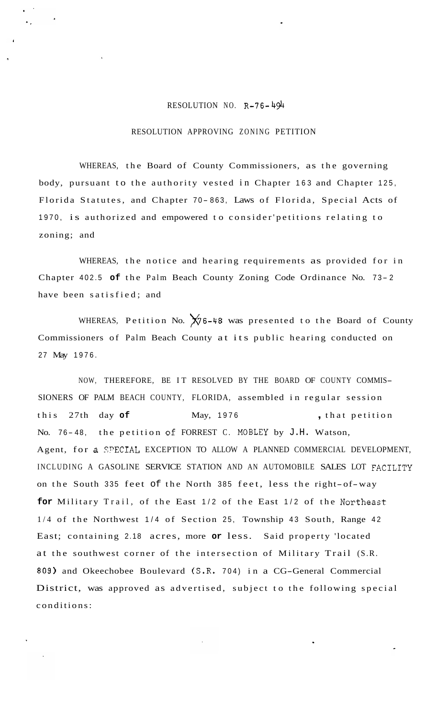## RESOLUTION NO. **R-76-494**

## RESOLUTION APPROVING ZONING PETITION

WHEREAS, the Board of County Commissioners, as the governing body, pursuant to the authority vested in Chapter 163 and Chapter 125, Florida Statutes, and Chapter 70-863, Laws of Florida, Special Acts of 1970, is authorized and empowered to consider'petitions relating to zoning; and

WHEREAS, the notice and hearing requirements as provided for in Chapter 402.5 of the Palm Beach County Zoning Code Ordinance No. 73-2 have been satisfied; and

WHEREAS, Petition No.  $X/76-48$  was presented to the Board of County Commissioners of Palm Beach County at its public hearing conducted on 27 May 1976.

NOW, THEREFORE, BE IT RESOLVED BY THE BOARD OF COUNTY COMMIS-SIONERS OF PALM BEACH COUNTY, FLORIDA, assembled in regular session this 27th day **of** May, 1976 , that petition No. 76-48, the petition of FORREST C. MOBLEY by J.H. Watson, Agent, for a SPECIAL EXCEPTION TO ALLOW A PLANNED COMMERCIAL DEVELOPMENT, INCLUDING A GASOLINE SERVICE STATION AND AN AUTOMOBILE SALES LOT FACILITY on the South 335 feet of the North 385 feet, less the right-of-way **for** Military Trail, of the East 1/2 of the East 1/2 of the Northeast 1/4 of the Northwest 1/4 of Section 25, Township 43 South, Range 42 East; containing 2.18 acres, more **or** less. Said property 'located at the southwest corner of the intersection of Military Trail (S.R. 809) and Okeechobee Boulevard (S.R. 704) in a CG-General Commercial District, was approved as advertised, subject to the following special conditions: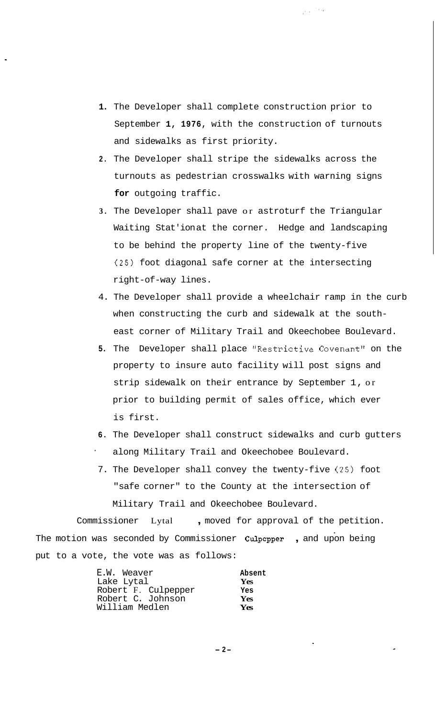**1.** The Developer shall complete construction prior to September **1, 1976,** with the construction of turnouts and sidewalks as first priority.

 $\mu_{\rm{max}}$  ,  $\mu_{\rm{max}}$ 

- **2.** The Developer shall stripe the sidewalks across the turnouts as pedestrian crosswalks with warning signs **for** outgoing traffic.
- **3.** The Developer shall pave or astroturf the Triangular Waiting Stat'ion at the corner. Hedge and landscaping to be behind the property line of the twenty-five **(25)** foot diagonal safe corner at the intersecting right-of-way lines.
- 4. The Developer shall provide a wheelchair ramp in the curb when constructing the curb and sidewalk at the southeast corner of Military Trail and Okeechobee Boulevard.
- **5.** The Developer shall place "Restrictive Covenant" on the property to insure auto facility will post signs and strip sidewalk on their entrance by September 1, or prior to building permit of sales office, which ever is first.
- **6.** The Developer shall construct sidewalks and curb gutters along Military Trail and Okeechobee Boulevard.
- 7. The Developer shall convey the twenty-five (25) foot "safe corner" to the County at the intersection of Military Trail and Okeechobee Boulevard.

Commissioner Lytal , moved for approval of the petition. The motion was seconded by Commissioner **Culpepper** , and upon being put to a vote, the vote was as follows:

| E.W. Weaver         | Absent     |
|---------------------|------------|
| Lake Lytal          | <b>Yes</b> |
| Robert F. Culpepper | Yes        |
| Robert C. Johnson   | <b>Yes</b> |
| William Medlen      | Yes        |